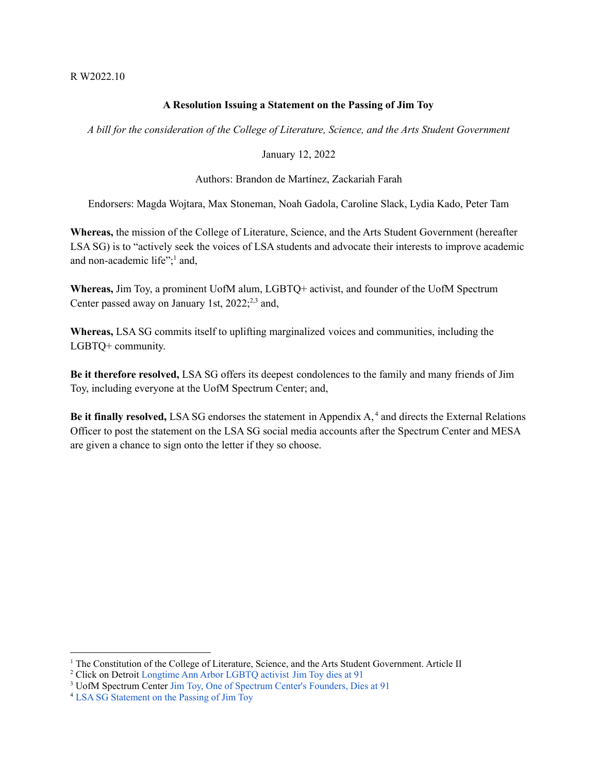#### R W2022.10

# **A Resolution Issuing a Statement on the Passing of Jim Toy**

*A bill for the consideration of the College of Literature, Science, and the Arts Student Government*

### January 12, 2022

# Authors: Brandon de Martínez, Zackariah Farah

Endorsers: Magda Wojtara, Max Stoneman, Noah Gadola, Caroline Slack, Lydia Kado, Peter Tam

**Whereas,** the mission of the College of Literature, Science, and the Arts Student Government (hereafter LSA SG) is to "actively seek the voices of LSA students and advocate their interests to improve academic and non-academic life"; <sup>1</sup> and,

**Whereas,** Jim Toy, a prominent UofM alum, LGBTQ+ activist, and founder of the UofM Spectrum Center passed away on January 1st,  $2022^{2,3}$  and,

**Whereas,** LSA SG commits itself to uplifting marginalized voices and communities, including the LGBTQ+ community.

**Be it therefore resolved,** LSA SG offers its deepest condolences to the family and many friends of Jim Toy, including everyone at the UofM Spectrum Center; and,

**Be it finally resolved,** LSA SG endorses the statement in Appendix A, <sup>4</sup> and directs the External Relations Officer to post the statement on the LSA SG social media accounts after the Spectrum Center and MESA are given a chance to sign onto the letter if they so choose.

<sup>&</sup>lt;sup>1</sup> The Constitution of the College of Literature, Science, and the Arts Student Government. Article II

<sup>2</sup> Click on Detroit [Longtime](https://www.clickondetroit.com/all-about-ann-arbor/2022/01/03/longtime-ann-arbor-lgbtq-activist-jim-toy-dies-at-91/) Ann Arbor LGBTQ activist Jim Toy dies at 91

<sup>3</sup> UofM Spectrum Center Jim Toy, One of Spectrum Center's [Founders,](https://spectrumcenter.umich.edu/article/jim-toy-one-spectrum-centers-founders-dies-91) Dies at 91

<sup>4</sup> LSA SG [Statement](https://docs.google.com/document/d/1EcqhDYdIL4CvMxcxhC3J1j6fpfleXiFU_J6LpR11gDE/edit) on the Passing of Jim Toy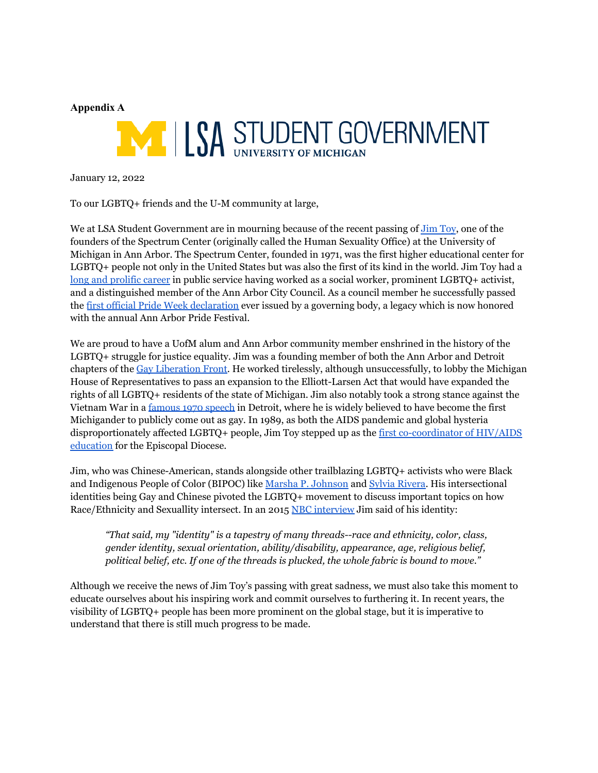# **Appendix A**



January 12, 2022

To our LGBTQ+ friends and the U-M community at large,

We at LSA Student Government are in mourning because of the recent passing of [Jim](https://spectrumcenter.umich.edu/article/jim-toy-one-spectrum-centers-founders-dies-91) Toy, one of the founders of the Spectrum Center (originally called the Human Sexuality Office) at the University of Michigan in Ann Arbor. The Spectrum Center, founded in 1971, was the first higher educational center for LGBTQ+ people not only in the United States but was also the first of its kind in the world. Jim Toy had a long and [prolific](https://www.detroitnews.com/story/news/local/michigan/2022/01/03/jim-toy-remembered-pioneer-lgbtq-activist-michigan-over-five-decades/9075056002/) career in public service having worked as a social worker, prominent LGBTQ+ activist, and a distinguished member of the Ann Arbor City Council. As a council member he successfully passed the first official Pride Week [declaration](https://www.detroitnews.com/story/news/local/michigan/2022/01/03/jim-toy-remembered-pioneer-lgbtq-activist-michigan-over-five-decades/9075056002/) ever issued by a governing body, a legacy which is now honored with the annual Ann Arbor Pride Festival.

We are proud to have a UofM alum and Ann Arbor community member enshrined in the history of the LGBTQ+ struggle for justice equality. Jim was a founding member of both the Ann Arbor and Detroit chapters of the Gay [Liberation](https://pridesource.com/article/shockwaves-from-stonewall-revisiting-gay-liberation-in-michigan/) Front. He worked tirelessly, although unsuccessfully, to lobby the Michigan House of Representatives to pass an expansion to the Elliott-Larsen Act that would have expanded the rights of all LGBTQ+ residents of the state of Michigan. Jim also notably took a strong stance against the Vietnam War in a [famous](https://www.nbcnews.com/news/asian-america/michigans-first-publicly-out-citizen-still-fighting-lgbtq-rights-n369701) 1970 speech in Detroit, where he is widely believed to have become the first Michigander to publicly come out as gay. In 1989, as both the AIDS pandemic and global hysteria disproportionately affected LGBTQ+ people, Jim Toy stepped up as the first [co-coordinator](https://www.detroitnews.com/story/news/local/michigan/2022/01/03/jim-toy-remembered-pioneer-lgbtq-activist-michigan-over-five-decades/9075056002/) of HIV/AIDS [education](https://www.detroitnews.com/story/news/local/michigan/2022/01/03/jim-toy-remembered-pioneer-lgbtq-activist-michigan-over-five-decades/9075056002/) for the Episcopal Diocese.

Jim, who was Chinese-American, stands alongside other trailblazing LGBTQ+ activists who were Black and Indigenous People of Color (BIPOC) like Marsha P. [Johnson](https://www.si.edu/stories/marsha-johnson-sylvia-rivera-and-history-pride-month) and Sylvia [Rivera.](https://www.womenshistory.org/education-resources/biographies/sylvia-rivera) His intersectional identities being Gay and Chinese pivoted the LGBTQ+ movement to discuss important topics on how Race/Ethnicity and Sexuallity intersect. In an 2015 NBC [interview](https://www.nbcnews.com/news/asian-america/michigans-first-publicly-out-citizen-still-fighting-lgbtq-rights-n369701) Jim said of his identity:

*"That said, my "identity" is a tapestry of many threads--race and ethnicity, color, class, gender identity, sexual orientation, ability/disability, appearance, age, religious belief, political belief, etc. If one of the threads is plucked, the whole fabric is bound to move."*

Although we receive the news of Jim Toy's passing with great sadness, we must also take this moment to educate ourselves about his inspiring work and commit ourselves to furthering it. In recent years, the visibility of LGBTQ+ people has been more prominent on the global stage, but it is imperative to understand that there is still much progress to be made.